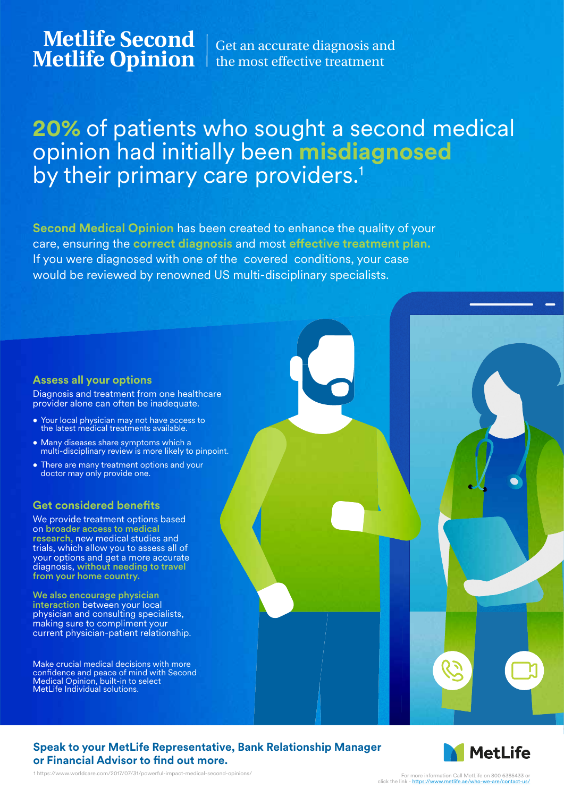**Metlife Second**

**Metlife Second** Get an accurate diagnosis and **Metlife Opinion** the most effective treatment the most effective treatment

# **20%** of patients who sought a second medical opinion had initially been **misdiagnosed** by their primary care providers.<sup>1</sup>

**Second Medical Opinion** has been created to enhance the quality of your care, ensuring the **correct diagnosis** and most effective treatment plan. If you were diagnosed with one of the covered conditions, your case would be reviewed by renowned US multi-disciplinary specialists.

#### **Assess all your options**

Diagnosis and treatment from one healthcare provider alone can often be inadequate.

- Your local physician may not have access to the latest medical treatments available.
- Many diseases share symptoms which a multi-disciplinary review is more likely to pinpoint.
- There are many treatment options and your doctor may only provide one.

#### **Get considered benefits**

We provide treatment options based on broader access to medical research, new medical studies and trials, which allow you to assess all of your options and get a more accurate diagnosis, without needing to travel from your home country.

We also encourage physician interaction between your local physician and consulting specialists, making sure to compliment your current physician-patient relationship.

Make crucial medical decisions with more confidence and peace of mind with Second Medical Opinion, built-in to select MetLife Individual solutions.





1 https://www.worldcare.com/2017/07/31/powerful-impact-medical-second-opinions/